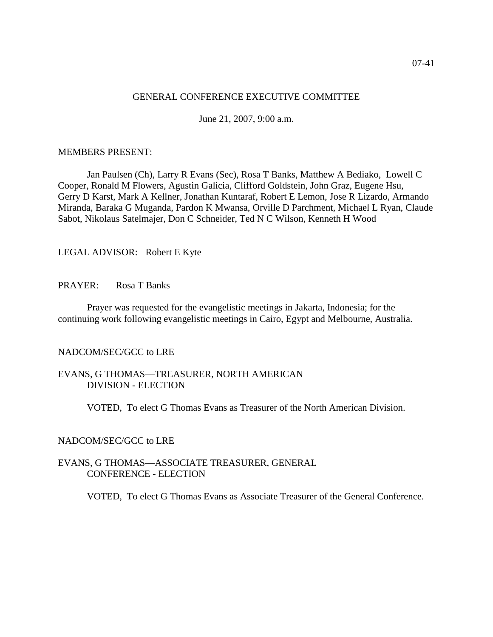# GENERAL CONFERENCE EXECUTIVE COMMITTEE

June 21, 2007, 9:00 a.m.

## MEMBERS PRESENT:

Jan Paulsen (Ch), Larry R Evans (Sec), Rosa T Banks, Matthew A Bediako, Lowell C Cooper, Ronald M Flowers, Agustin Galicia, Clifford Goldstein, John Graz, Eugene Hsu, Gerry D Karst, Mark A Kellner, Jonathan Kuntaraf, Robert E Lemon, Jose R Lizardo, Armando Miranda, Baraka G Muganda, Pardon K Mwansa, Orville D Parchment, Michael L Ryan, Claude Sabot, Nikolaus Satelmajer, Don C Schneider, Ted N C Wilson, Kenneth H Wood

## LEGAL ADVISOR: Robert E Kyte

## PRAYER: Rosa T Banks

Prayer was requested for the evangelistic meetings in Jakarta, Indonesia; for the continuing work following evangelistic meetings in Cairo, Egypt and Melbourne, Australia.

## NADCOM/SEC/GCC to LRE

## EVANS, G THOMAS—TREASURER, NORTH AMERICAN DIVISION - ELECTION

VOTED, To elect G Thomas Evans as Treasurer of the North American Division.

## NADCOM/SEC/GCC to LRE

#### EVANS, G THOMAS—ASSOCIATE TREASURER, GENERAL CONFERENCE - ELECTION

VOTED, To elect G Thomas Evans as Associate Treasurer of the General Conference.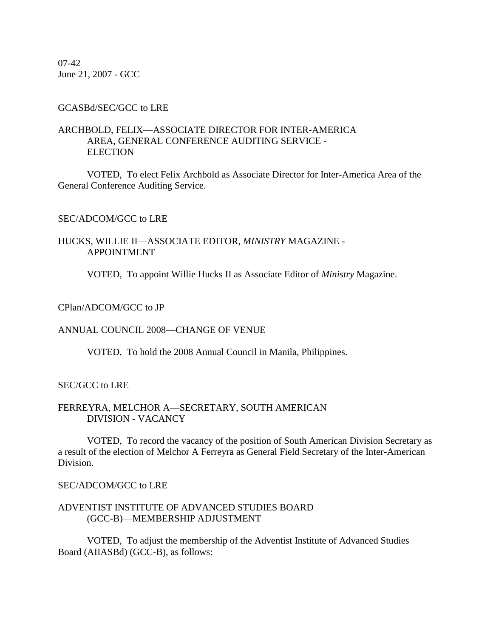07-42 June 21, 2007 - GCC

## GCASBd/SEC/GCC to LRE

# ARCHBOLD, FELIX—ASSOCIATE DIRECTOR FOR INTER-AMERICA AREA, GENERAL CONFERENCE AUDITING SERVICE - **ELECTION**

VOTED, To elect Felix Archbold as Associate Director for Inter-America Area of the General Conference Auditing Service.

## SEC/ADCOM/GCC to LRE

## HUCKS, WILLIE II—ASSOCIATE EDITOR, *MINISTRY* MAGAZINE - APPOINTMENT

VOTED, To appoint Willie Hucks II as Associate Editor of *Ministry* Magazine.

#### CPlan/ADCOM/GCC to JP

## ANNUAL COUNCIL 2008—CHANGE OF VENUE

VOTED, To hold the 2008 Annual Council in Manila, Philippines.

### SEC/GCC to LRE

### FERREYRA, MELCHOR A—SECRETARY, SOUTH AMERICAN DIVISION - VACANCY

VOTED, To record the vacancy of the position of South American Division Secretary as a result of the election of Melchor A Ferreyra as General Field Secretary of the Inter-American Division.

#### SEC/ADCOM/GCC to LRE

#### ADVENTIST INSTITUTE OF ADVANCED STUDIES BOARD (GCC-B)—MEMBERSHIP ADJUSTMENT

VOTED, To adjust the membership of the Adventist Institute of Advanced Studies Board (AIIASBd) (GCC-B), as follows: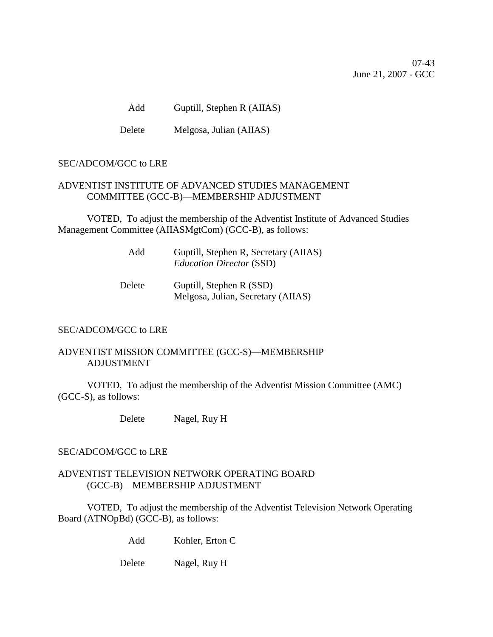07-43 June 21, 2007 - GCC

Add Guptill, Stephen R (AIIAS)

Delete Melgosa, Julian (AIIAS)

# SEC/ADCOM/GCC to LRE

# ADVENTIST INSTITUTE OF ADVANCED STUDIES MANAGEMENT COMMITTEE (GCC-B)—MEMBERSHIP ADJUSTMENT

VOTED, To adjust the membership of the Adventist Institute of Advanced Studies Management Committee (AIIASMgtCom) (GCC-B), as follows:

| Add | Guptill, Stephen R, Secretary (AIIAS) |
|-----|---------------------------------------|
|     | <i>Education Director</i> (SSD)       |

| Delete | Guptill, Stephen R (SSD)           |
|--------|------------------------------------|
|        | Melgosa, Julian, Secretary (AIIAS) |

# SEC/ADCOM/GCC to LRE

# ADVENTIST MISSION COMMITTEE (GCC-S)—MEMBERSHIP ADJUSTMENT

VOTED, To adjust the membership of the Adventist Mission Committee (AMC) (GCC-S), as follows:

Delete Nagel, Ruy H

## SEC/ADCOM/GCC to LRE

# ADVENTIST TELEVISION NETWORK OPERATING BOARD (GCC-B)—MEMBERSHIP ADJUSTMENT

VOTED, To adjust the membership of the Adventist Television Network Operating Board (ATNOpBd) (GCC-B), as follows:

Add Kohler, Erton C

Delete Nagel, Ruy H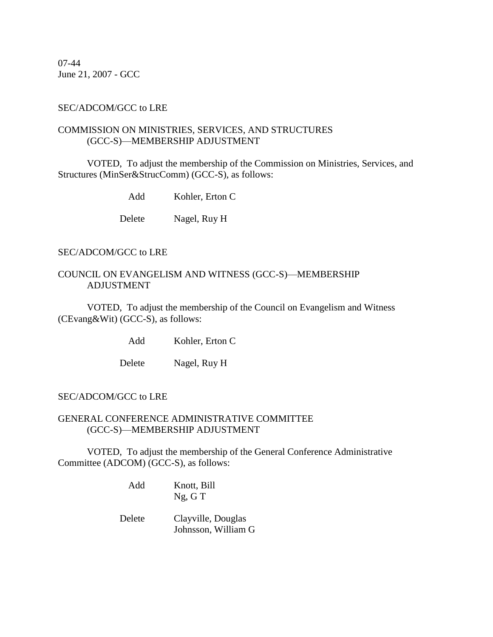07-44 June 21, 2007 - GCC

## SEC/ADCOM/GCC to LRE

# COMMISSION ON MINISTRIES, SERVICES, AND STRUCTURES (GCC-S)—MEMBERSHIP ADJUSTMENT

VOTED, To adjust the membership of the Commission on Ministries, Services, and Structures (MinSer&StrucComm) (GCC-S), as follows:

Add Kohler, Erton C

Delete Nagel, Ruy H

## SEC/ADCOM/GCC to LRE

## COUNCIL ON EVANGELISM AND WITNESS (GCC-S)—MEMBERSHIP ADJUSTMENT

VOTED, To adjust the membership of the Council on Evangelism and Witness (CEvang&Wit) (GCC-S), as follows:

Add Kohler, Erton C

Delete Nagel, Ruy H

## SEC/ADCOM/GCC to LRE

## GENERAL CONFERENCE ADMINISTRATIVE COMMITTEE (GCC-S)—MEMBERSHIP ADJUSTMENT

VOTED, To adjust the membership of the General Conference Administrative Committee (ADCOM) (GCC-S), as follows:

- Add Knott, Bill Ng, G T
- Delete Clayville, Douglas Johnsson, William G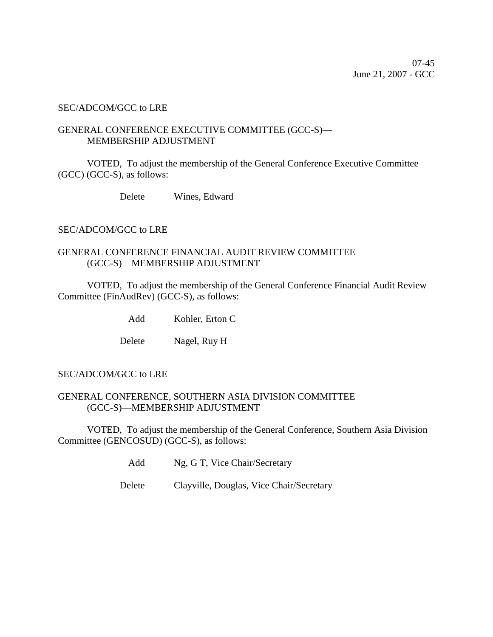## SEC/ADCOM/GCC to LRE

## GENERAL CONFERENCE EXECUTIVE COMMITTEE (GCC-S)— MEMBERSHIP ADJUSTMENT

VOTED, To adjust the membership of the General Conference Executive Committee (GCC) (GCC-S), as follows:

Delete Wines, Edward

SEC/ADCOM/GCC to LRE

# GENERAL CONFERENCE FINANCIAL AUDIT REVIEW COMMITTEE (GCC-S)—MEMBERSHIP ADJUSTMENT

VOTED, To adjust the membership of the General Conference Financial Audit Review Committee (FinAudRev) (GCC-S), as follows:

Add Kohler, Erton C

Delete Nagel, Ruy H

## SEC/ADCOM/GCC to LRE

# GENERAL CONFERENCE, SOUTHERN ASIA DIVISION COMMITTEE (GCC-S)—MEMBERSHIP ADJUSTMENT

VOTED, To adjust the membership of the General Conference, Southern Asia Division Committee (GENCOSUD) (GCC-S), as follows:

Add Ng, G T, Vice Chair/Secretary

Delete Clayville, Douglas, Vice Chair/Secretary